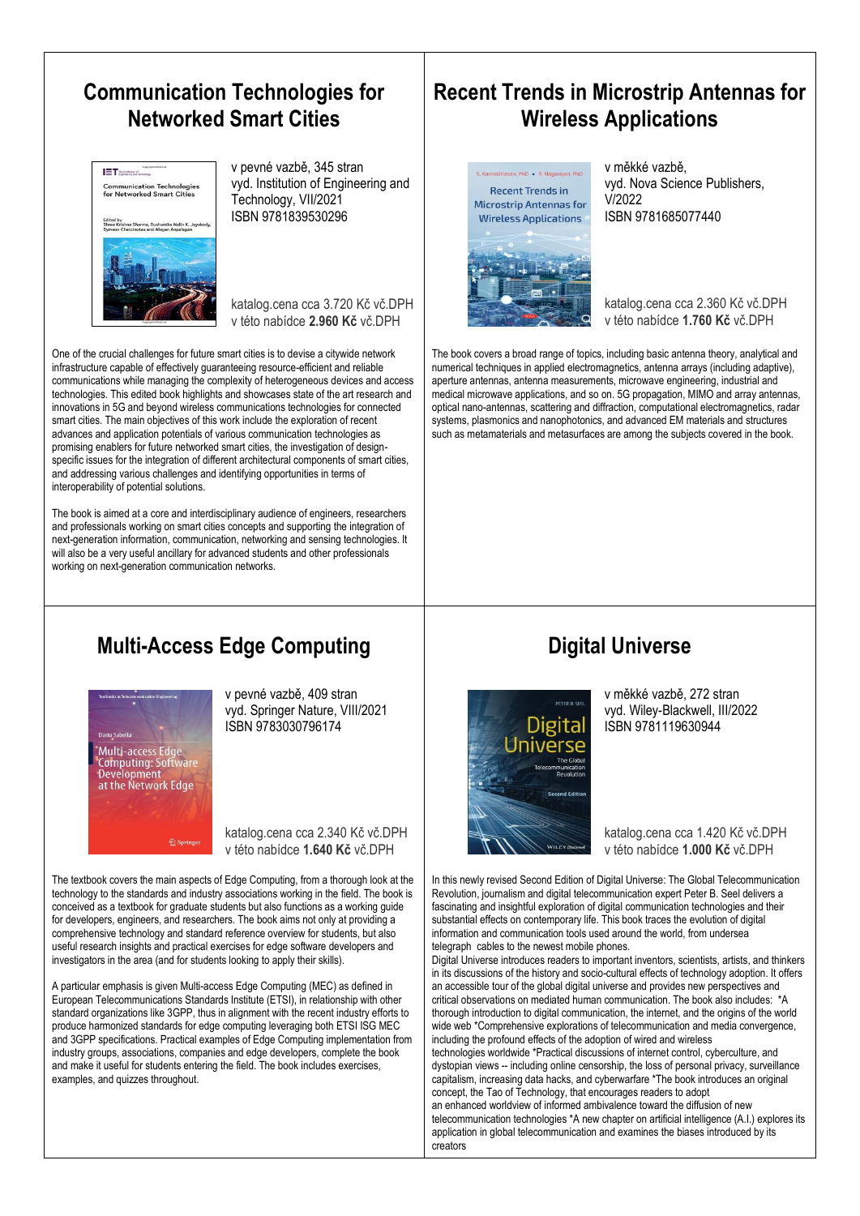#### **Communication Technologies for Networked Smart Cities**



v pevné vazbě, 345 stran vyd. Institution of Engineering and Technology, VII/2021 ISBN 9781839530296

katalog.cena cca 3.720 Kč vč.DPH v této nabídce **2.960 Kč** vč.DPH

One of the crucial challenges for future smart cities is to devise a citywide network infrastructure capable of effectively guaranteeing resource-efficient and reliable communications while managing the complexity of heterogeneous devices and access technologies. This edited book highlights and showcases state of the art research and innovations in 5G and beyond wireless communications technologies for connected smart cities. The main objectives of this work include the exploration of recent advances and application potentials of various communication technologies as promising enablers for future networked smart cities, the investigation of designspecific issues for the integration of different architectural components of smart cities, and addressing various challenges and identifying opportunities in terms of interoperability of potential solutions.

The book is aimed at a core and interdisciplinary audience of engineers, researchers and professionals working on smart cities concepts and supporting the integration of next-generation information, communication, networking and sensing technologies. It will also be a very useful ancillary for advanced students and other professionals working on next-generation communication networks.

# **Multi-Access Edge Computing**



v pevné vazbě, 409 stran vyd. Springer Nature, VIII/2021 ISBN 9783030796174

katalog.cena cca 2.340 Kč vč.DPH v této nabídce **1.640 Kč** vč.DPH

The textbook covers the main aspects of Edge Computing, from a thorough look at the technology to the standards and industry associations working in the field. The book is conceived as a textbook for graduate students but also functions as a working guide for developers, engineers, and researchers. The book aims not only at providing a comprehensive technology and standard reference overview for students, but also useful research insights and practical exercises for edge software developers and investigators in the area (and for students looking to apply their skills).

A particular emphasis is given Multi-access Edge Computing (MEC) as defined in European Telecommunications Standards Institute (ETSI), in relationship with other standard organizations like 3GPP, thus in alignment with the recent industry efforts to produce harmonized standards for edge computing leveraging both ETSI ISG MEC and 3GPP specifications. Practical examples of Edge Computing implementation from industry groups, associations, companies and edge developers, complete the book and make it useful for students entering the field. The book includes exercises, examples, and quizzes throughout.

## **Recent Trends in Microstrip Antennas for Wireless Applications**



v měkké vazbě, vyd. Nova Science Publishers, V/2022 ISBN 9781685077440

katalog.cena cca 2.360 Kč vč.DPH v této nabídce **1.760 Kč** vč.DPH

The book covers a broad range of topics, including basic antenna theory, analytical and numerical techniques in applied electromagnetics, antenna arrays (including adaptive), aperture antennas, antenna measurements, microwave engineering, industrial and medical microwave applications, and so on. 5G propagation, MIMO and array antennas, optical nano-antennas, scattering and diffraction, computational electromagnetics, radar systems, plasmonics and nanophotonics, and advanced EM materials and structures such as metamaterials and metasurfaces are among the subjects covered in the book.

## **Digital Universe**



v měkké vazbě, 272 stran vyd. Wiley-Blackwell, III/2022 ISBN 9781119630944

katalog.cena cca 1.420 Kč vč.DPH v této nabídce **1.000 Kč** vč.DPH

In this newly revised Second Edition of Digital Universe: The Global Telecommunication Revolution, journalism and digital telecommunication expert Peter B. Seel delivers a fascinating and insightful exploration of digital communication technologies and their substantial effects on contemporary life. This book traces the evolution of digital information and communication tools used around the world, from undersea telegraph cables to the newest mobile phones.

Digital Universe introduces readers to important inventors, scientists, artists, and thinkers in its discussions of the history and socio-cultural effects of technology adoption. It offers an accessible tour of the global digital universe and provides new perspectives and critical observations on mediated human communication. The book also includes: \*A thorough introduction to digital communication, the internet, and the origins of the world wide web \*Comprehensive explorations of telecommunication and media convergence. including the profound effects of the adoption of wired and wireless technologies worldwide \*Practical discussions of internet control, cyberculture, and dystopian views -- including online censorship, the loss of personal privacy, surveillance capitalism, increasing data hacks, and cyberwarfare \*The book introduces an original concept, the Tao of Technology, that encourages readers to adopt an enhanced worldview of informed ambivalence toward the diffusion of new telecommunication technologies \*A new chapter on artificial intelligence (A.I.) explores its application in global telecommunication and examines the biases introduced by its creators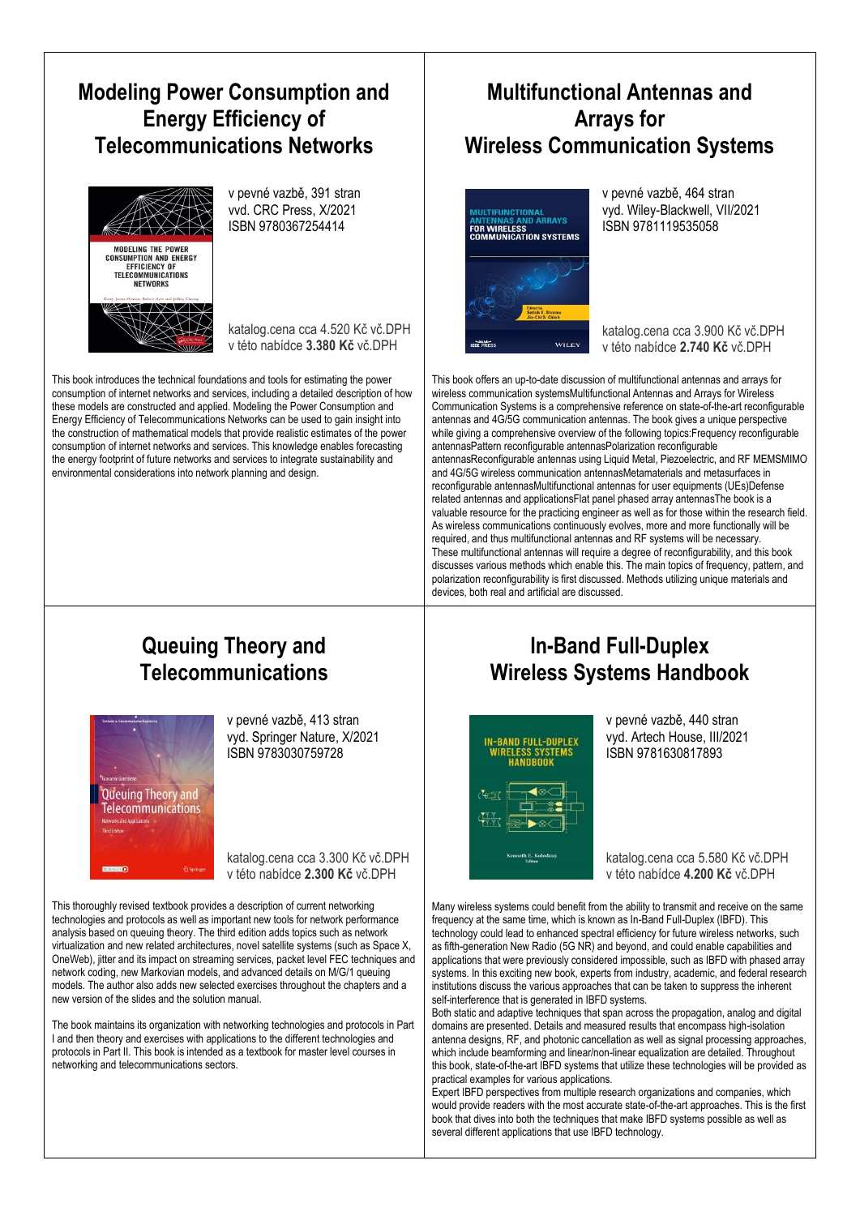## **Modeling Power Consumption and Energy Efficiency of Telecommunications Networks**



v pevné vazbě, 391 stran vvd. CRC Press, X/2021 ISBN 9780367254414

katalog.cena cca 4.520 Kč vč.DPH v této nabídce **3.380 Kč** vč.DPH

This book introduces the technical foundations and tools for estimating the power consumption of internet networks and services, including a detailed description of how these models are constructed and applied. Modeling the Power Consumption and Energy Efficiency of Telecommunications Networks can be used to gain insight into the construction of mathematical models that provide realistic estimates of the power consumption of internet networks and services. This knowledge enables forecasting the energy footprint of future networks and services to integrate sustainability and environmental considerations into network planning and design.

### **Multifunctional Antennas and Arrays for Wireless Communication Systems**



v pevné vazbě, 464 stran vyd. Wiley-Blackwell, VII/2021 ISBN 9781119535058

katalog.cena cca 3.900 Kč vč.DPH v této nabídce **2.740 Kč** vč.DPH

This book offers an up-to-date discussion of multifunctional antennas and arrays for wireless communication systemsMultifunctional Antennas and Arrays for Wireless Communication Systems is a comprehensive reference on state-of-the-art reconfigurable antennas and 4G/5G communication antennas. The book gives a unique perspective while giving a comprehensive overview of the following topics:Frequency reconfigurable antennasPattern reconfigurable antennasPolarization reconfigurable antennasReconfigurable antennas using Liquid Metal, Piezoelectric, and RF MEMSMIMO and 4G/5G wireless communication antennasMetamaterials and metasurfaces in reconfigurable antennasMultifunctional antennas for user equipments (UEs)Defense related antennas and applicationsFlat panel phased array antennasThe book is a valuable resource for the practicing engineer as well as for those within the research field. As wireless communications continuously evolves, more and more functionally will be required, and thus multifunctional antennas and RF systems will be necessary. These multifunctional antennas will require a degree of reconfigurability, and this book discusses various methods which enable this. The main topics of frequency, pattern, and polarization reconfigurability is first discussed. Methods utilizing unique materials and devices, both real and artificial are discussed.

#### **Queuing Theory and Telecommunications**



v pevné vazbě, 413 stran vyd. Springer Nature, X/2021 ISBN 9783030759728

katalog.cena cca 3.300 Kč vč.DPH v této nabídce **2.300 Kč** vč.DPH

This thoroughly revised textbook provides a description of current networking technologies and protocols as well as important new tools for network performance analysis based on queuing theory. The third edition adds topics such as network virtualization and new related architectures, novel satellite systems (such as Space X, OneWeb), jitter and its impact on streaming services, packet level FEC techniques and network coding, new Markovian models, and advanced details on M/G/1 queuing models. The author also adds new selected exercises throughout the chapters and a new version of the slides and the solution manual.

The book maintains its organization with networking technologies and protocols in Part I and then theory and exercises with applications to the different technologies and protocols in Part II. This book is intended as a textbook for master level courses in networking and telecommunications sectors.

## **In-Band Full-Duplex Wireless Systems Handbook**



v pevné vazbě, 440 stran vyd. Artech House, III/2021 ISBN 9781630817893

katalog.cena cca 5.580 Kč vč.DPH v této nabídce **4.200 Kč** vč.DPH

Many wireless systems could benefit from the ability to transmit and receive on the same frequency at the same time, which is known as In-Band Full-Duplex (IBFD). This technology could lead to enhanced spectral efficiency for future wireless networks, such as fifth-generation New Radio (5G NR) and beyond, and could enable capabilities and applications that were previously considered impossible, such as IBFD with phased array systems. In this exciting new book, experts from industry, academic, and federal research institutions discuss the various approaches that can be taken to suppress the inherent self-interference that is generated in IBFD systems.

Both static and adaptive techniques that span across the propagation, analog and digital domains are presented. Details and measured results that encompass high-isolation antenna designs, RF, and photonic cancellation as well as signal processing approaches, which include beamforming and linear/non-linear equalization are detailed. Throughout this book, state-of-the-art IBFD systems that utilize these technologies will be provided as practical examples for various applications.

Expert IBFD perspectives from multiple research organizations and companies, which would provide readers with the most accurate state-of-the-art approaches. This is the first book that dives into both the techniques that make IBFD systems possible as well as several different applications that use IBFD technology.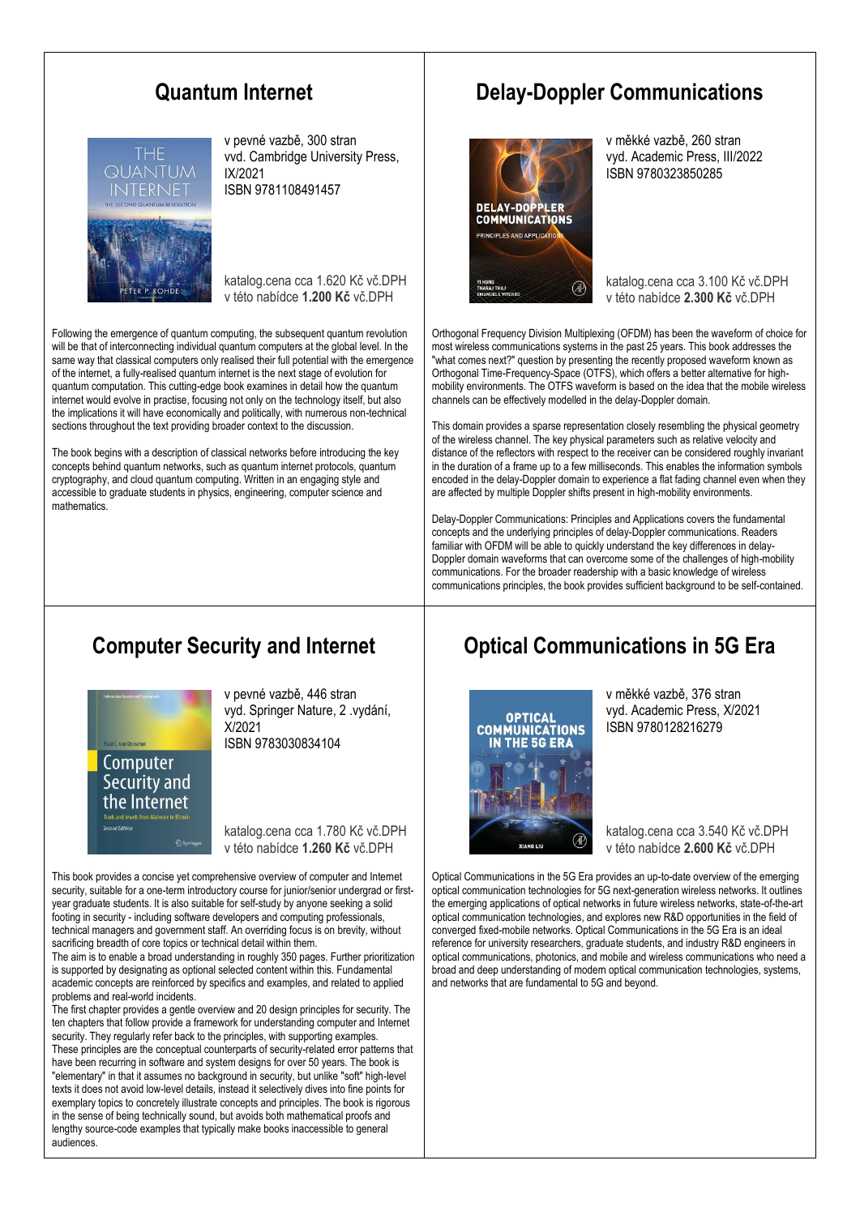#### **Quantum Internet**



v pevné vazbě, 300 stran vvd. Cambridge University Press, IX/2021 ISBN 9781108491457

katalog.cena cca 1.620 Kč vč.DPH v této nabídce **1.200 Kč** vč.DPH

Following the emergence of quantum computing, the subsequent quantum revolution will be that of interconnecting individual quantum computers at the global level. In the same way that classical computers only realised their full potential with the emergence of the internet, a fully-realised quantum internet is the next stage of evolution for quantum computation. This cutting-edge book examines in detail how the quantum internet would evolve in practise, focusing not only on the technology itself, but also the implications it will have economically and politically, with numerous non-technical sections throughout the text providing broader context to the discussion.

The book begins with a description of classical networks before introducing the key concepts behind quantum networks, such as quantum internet protocols, quantum cryptography, and cloud quantum computing. Written in an engaging style and accessible to graduate students in physics, engineering, computer science and mathematics.

### **Delay-Doppler Communications**



v měkké vazbě, 260 stran vyd. Academic Press, III/2022 ISBN 9780323850285

katalog.cena cca 3.100 Kč vč.DPH v této nabídce **2.300 Kč** vč.DPH

Orthogonal Frequency Division Multiplexing (OFDM) has been the waveform of choice for most wireless communications systems in the past 25 years. This book addresses the "what comes next?" question by presenting the recently proposed waveform known as Orthogonal Time-Frequency-Space (OTFS), which offers a better alternative for highmobility environments. The OTFS waveform is based on the idea that the mobile wireless channels can be effectively modelled in the delay-Doppler domain.

This domain provides a sparse representation closely resembling the physical geometry of the wireless channel. The key physical parameters such as relative velocity and distance of the reflectors with respect to the receiver can be considered roughly invariant in the duration of a frame up to a few milliseconds. This enables the information symbols encoded in the delay-Doppler domain to experience a flat fading channel even when they are affected by multiple Doppler shifts present in high-mobility environments.

Delay-Doppler Communications: Principles and Applications covers the fundamental concepts and the underlying principles of delay-Doppler communications. Readers familiar with OFDM will be able to quickly understand the key differences in delay-Doppler domain waveforms that can overcome some of the challenges of high-mobility communications. For the broader readership with a basic knowledge of wireless communications principles, the book provides sufficient background to be self-contained.

#### **Computer Security and Internet**



v pevné vazbě, 446 stran vyd. Springer Nature, 2 .vydání, X/2021 ISBN 9783030834104

katalog.cena cca 1.780 Kč vč.DPH v této nabídce **1.260 Kč** vč.DPH

This book provides a concise yet comprehensive overview of computer and Internet security, suitable for a one-term introductory course for junior/senior undergrad or firstyear graduate students. It is also suitable for self-study by anyone seeking a solid footing in security - including software developers and computing professionals, technical managers and government staff. An overriding focus is on brevity, without sacrificing breadth of core topics or technical detail within them.

The aim is to enable a broad understanding in roughly 350 pages. Further prioritization is supported by designating as optional selected content within this. Fundamental academic concepts are reinforced by specifics and examples, and related to applied problems and real-world incidents.

The first chapter provides a gentle overview and 20 design principles for security. The ten chapters that follow provide a framework for understanding computer and Internet security. They regularly refer back to the principles, with supporting examples. These principles are the conceptual counterparts of security-related error patterns that have been recurring in software and system designs for over 50 years. The book is "elementary" in that it assumes no background in security, but unlike "soft" high-level texts it does not avoid low-level details, instead it selectively dives into fine points for exemplary topics to concretely illustrate concepts and principles. The book is rigorous in the sense of being technically sound, but avoids both mathematical proofs and lengthy source-code examples that typically make books inaccessible to general audiences.

## **Optical Communications in 5G Era**



v měkké vazbě, 376 stran vyd. Academic Press, X/2021 ISBN 9780128216279

katalog.cena cca 3.540 Kč vč.DPH v této nabídce **2.600 Kč** vč.DPH

Optical Communications in the 5G Era provides an up-to-date overview of the emerging optical communication technologies for 5G next-generation wireless networks. It outlines the emerging applications of optical networks in future wireless networks, state-of-the-art optical communication technologies, and explores new R&D opportunities in the field of converged fixed-mobile networks. Optical Communications in the 5G Era is an ideal reference for university researchers, graduate students, and industry R&D engineers in optical communications, photonics, and mobile and wireless communications who need a broad and deep understanding of modern optical communication technologies, systems, and networks that are fundamental to 5G and beyond.